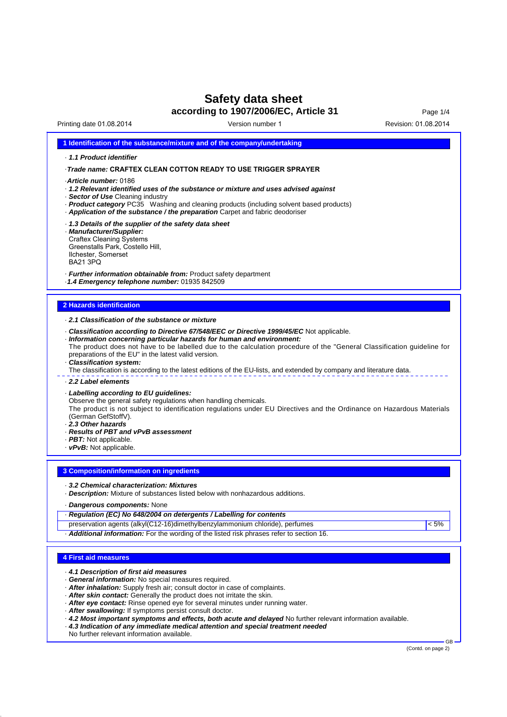# **Safety data sheet**

**according to 1907/2006/EC, Article 31**

Version number 1

Page 1/4 Printing date 01.08.2014 **Printing date 01.08.2014** Version number 1

|                                                                                                       | 1 Identification of the substance/mixture and of the company/undertaking                                                                                                                                                                                                                                                                                                                                                                                                                                                                                                                                |
|-------------------------------------------------------------------------------------------------------|---------------------------------------------------------------------------------------------------------------------------------------------------------------------------------------------------------------------------------------------------------------------------------------------------------------------------------------------------------------------------------------------------------------------------------------------------------------------------------------------------------------------------------------------------------------------------------------------------------|
| 1.1 Product identifier                                                                                |                                                                                                                                                                                                                                                                                                                                                                                                                                                                                                                                                                                                         |
|                                                                                                       | Trade name: CRAFTEX CLEAN COTTON READY TO USE TRIGGER SPRAYER                                                                                                                                                                                                                                                                                                                                                                                                                                                                                                                                           |
| Article number: 0186                                                                                  | . 1.2 Relevant identified uses of the substance or mixture and uses advised against<br>· Sector of Use Cleaning industry<br>· Product category PC35 Washing and cleaning products (including solvent based products)<br>Application of the substance / the preparation Carpet and fabric deodoriser                                                                                                                                                                                                                                                                                                     |
| · Manufacturer/Supplier:<br><b>Craftex Cleaning Systems</b><br>Ilchester, Somerset<br><b>BA21 3PQ</b> | · 1.3 Details of the supplier of the safety data sheet<br>Greenstalls Park, Costello Hill,                                                                                                                                                                                                                                                                                                                                                                                                                                                                                                              |
|                                                                                                       | · Further information obtainable from: Product safety department<br>-1.4 Emergency telephone number: 01935 842509                                                                                                                                                                                                                                                                                                                                                                                                                                                                                       |
| <b>2 Hazards identification</b>                                                                       |                                                                                                                                                                                                                                                                                                                                                                                                                                                                                                                                                                                                         |
|                                                                                                       | 2.1 Classification of the substance or mixture                                                                                                                                                                                                                                                                                                                                                                                                                                                                                                                                                          |
| · Classification system:                                                                              | - Classification according to Directive 67/548/EEC or Directive 1999/45/EC Not applicable.<br>· Information concerning particular hazards for human and environment:<br>The product does not have to be labelled due to the calculation procedure of the "General Classification guideline for<br>preparations of the EU" in the latest valid version.<br>The classification is according to the latest editions of the EU-lists, and extended by company and literature data.                                                                                                                          |
| 2.2 Label elements                                                                                    |                                                                                                                                                                                                                                                                                                                                                                                                                                                                                                                                                                                                         |
| (German GefStoffV).<br>2.3 Other hazards<br>· PBT: Not applicable.<br>· vPvB: Not applicable.         | · Labelling according to EU guidelines:<br>Observe the general safety regulations when handling chemicals.<br>The product is not subject to identification regulations under EU Directives and the Ordinance on Hazardous Materials<br>· Results of PBT and vPvB assessment                                                                                                                                                                                                                                                                                                                             |
|                                                                                                       | 3 Composition/information on ingredients                                                                                                                                                                                                                                                                                                                                                                                                                                                                                                                                                                |
|                                                                                                       |                                                                                                                                                                                                                                                                                                                                                                                                                                                                                                                                                                                                         |
|                                                                                                       | 3.2 Chemical characterization: Mixtures<br>- Description: Mixture of substances listed below with nonhazardous additions.                                                                                                                                                                                                                                                                                                                                                                                                                                                                               |
|                                                                                                       | · Dangerous components: None                                                                                                                                                                                                                                                                                                                                                                                                                                                                                                                                                                            |
|                                                                                                       | Regulation (EC) No 648/2004 on detergents / Labelling for contents                                                                                                                                                                                                                                                                                                                                                                                                                                                                                                                                      |
|                                                                                                       | preservation agents (alkyl(C12-16)dimethylbenzylammonium chloride), perfumes<br>$< 5\%$<br>· Additional information: For the wording of the listed risk phrases refer to section 16.                                                                                                                                                                                                                                                                                                                                                                                                                    |
|                                                                                                       |                                                                                                                                                                                                                                                                                                                                                                                                                                                                                                                                                                                                         |
| <b>4 First aid measures</b>                                                                           |                                                                                                                                                                                                                                                                                                                                                                                                                                                                                                                                                                                                         |
|                                                                                                       | 4.1 Description of first aid measures<br>· General information: No special measures required.<br>- After inhalation: Supply fresh air; consult doctor in case of complaints.<br>- After skin contact: Generally the product does not irritate the skin.<br>· After eye contact: Rinse opened eye for several minutes under running water.<br>- After swallowing: If symptoms persist consult doctor.<br>-4.2 Most important symptoms and effects, both acute and delayed No further relevant information available.<br>· 4.3 Indication of any immediate medical attention and special treatment needed |

No further relevant information available.

GB<br>(Contd. on page 2)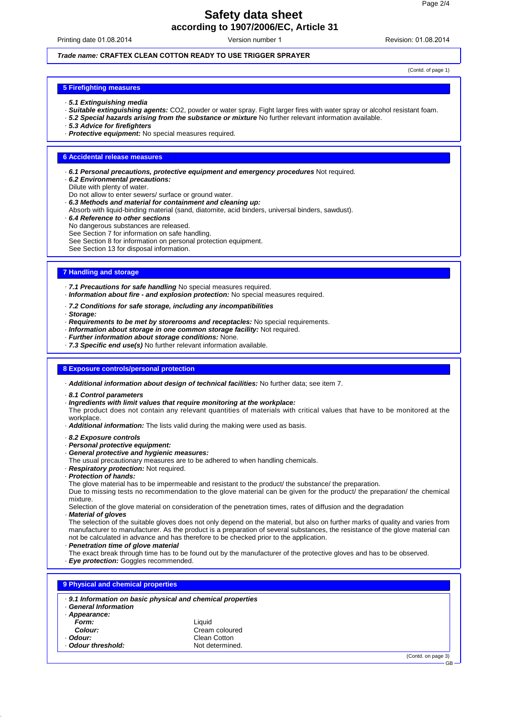# **Safety data sheet according to 1907/2006/EC, Article 31**

Printing date 01.08.2014 **Revision: 01.08.2014** Revision: 01.08.2014 Version number 1

# **Trade name: CRAFTEX CLEAN COTTON READY TO USE TRIGGER SPRAYER**

(Contd. of page 1)

## **5 Firefighting measures**

- · **5.1 Extinguishing media**
- · **Suitable extinguishing agents:** CO2, powder or water spray. Fight larger fires with water spray or alcohol resistant foam.
- · **5.2 Special hazards arising from the substance or mixture** No further relevant information available.
- · **5.3 Advice for firefighters**
- · **Protective equipment:** No special measures required.

# **6 Accidental release measures**

- · **6.1 Personal precautions, protective equipment and emergency procedures** Not required.
- · **6.2 Environmental precautions:**
- Dilute with plenty of water.
- Do not allow to enter sewers/ surface or ground water.
- · **6.3 Methods and material for containment and cleaning up:**
- Absorb with liquid-binding material (sand, diatomite, acid binders, universal binders, sawdust).
- · **6.4 Reference to other sections**
- No dangerous substances are released.
- See Section 7 for information on safe handling.

See Section 8 for information on personal protection equipment.

See Section 13 for disposal information.

#### **7 Handling and storage**

· **7.1 Precautions for safe handling** No special measures required.

- · **Information about fire and explosion protection:** No special measures required.
- · **7.2 Conditions for safe storage, including any incompatibilities**
- · **Storage:**
- · **Requirements to be met by storerooms and receptacles:** No special requirements.
- · **Information about storage in one common storage facility:** Not required.
- · **Further information about storage conditions:** None.
- · **7.3 Specific end use(s)** No further relevant information available.

#### **8 Exposure controls/personal protection**

- · **Additional information about design of technical facilities:** No further data; see item 7.
- · **8.1 Control parameters**
- · **Ingredients with limit values that require monitoring at the workplace:**

The product does not contain any relevant quantities of materials with critical values that have to be monitored at the workplace

· **Additional information:** The lists valid during the making were used as basis.

- · **8.2 Exposure controls**
- · **Personal protective equipment:**
- · **General protective and hygienic measures:**
- The usual precautionary measures are to be adhered to when handling chemicals.
- · **Respiratory protection:** Not required.
- · **Protection of hands:**

The glove material has to be impermeable and resistant to the product/ the substance/ the preparation.

Due to missing tests no recommendation to the glove material can be given for the product/ the preparation/ the chemical mixture.

Selection of the glove material on consideration of the penetration times, rates of diffusion and the degradation · **Material of gloves**

The selection of the suitable gloves does not only depend on the material, but also on further marks of quality and varies from manufacturer to manufacturer. As the product is a preparation of several substances, the resistance of the glove material can not be calculated in advance and has therefore to be checked prior to the application.

· **Penetration time of glove material**

The exact break through time has to be found out by the manufacturer of the protective gloves and has to be observed.

· **Eye protection:** Goggles recommended.

| . 9.1 Information on basic physical and chemical properties<br>General Information |                 |  |  |  |
|------------------------------------------------------------------------------------|-----------------|--|--|--|
| Appearance:                                                                        |                 |  |  |  |
| Form:                                                                              | Liquid          |  |  |  |
| Colour:                                                                            | Cream coloured  |  |  |  |
| Odour:                                                                             | Clean Cotton    |  |  |  |
| Odour threshold:                                                                   | Not determined. |  |  |  |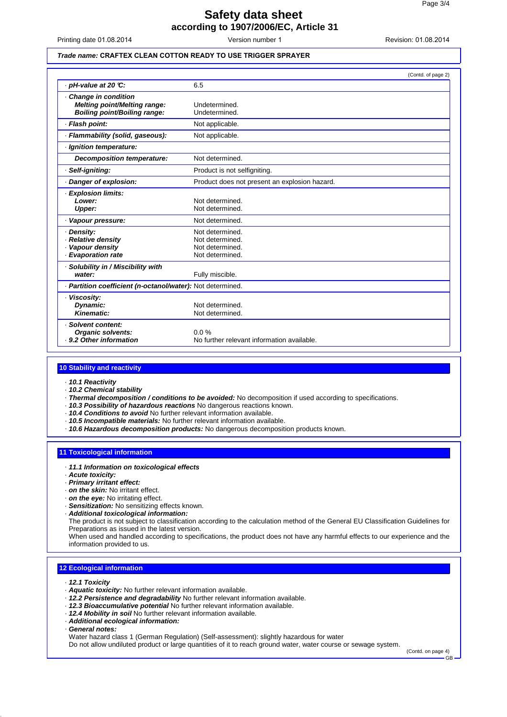# **Safety data sheet according to 1907/2006/EC, Article 31**

Printing date 01.08.2014 **Revision: 01.08.2014** Revision: 01.08.2014

Version number 1

# **Trade name: CRAFTEX CLEAN COTTON READY TO USE TRIGGER SPRAYER**

|                                                                                     | (Contd. of page 2)                                                       |  |
|-------------------------------------------------------------------------------------|--------------------------------------------------------------------------|--|
| · pH-value at 20 ℃:                                                                 | 6.5                                                                      |  |
| Change in condition<br>Melting point/Melting range:<br>Boiling point/Boiling range: | Undetermined.<br>Undetermined.                                           |  |
| · Flash point:                                                                      | Not applicable.                                                          |  |
| · Flammability (solid, gaseous):                                                    | Not applicable.                                                          |  |
| · Ignition temperature:                                                             |                                                                          |  |
| <b>Decomposition temperature:</b>                                                   | Not determined.                                                          |  |
| · Self-igniting:                                                                    | Product is not selfigniting.                                             |  |
| · Danger of explosion:                                                              | Product does not present an explosion hazard.                            |  |
| · Explosion limits:<br>Lower:<br>Upper:                                             | Not determined.<br>Not determined.                                       |  |
| · Vapour pressure:                                                                  | Not determined.                                                          |  |
| · Density:<br>· Relative density<br>· Vapour density<br>· Evaporation rate          | Not determined.<br>Not determined.<br>Not determined.<br>Not determined. |  |
| · Solubility in / Miscibility with<br>water:                                        | Fully miscible.                                                          |  |
| · Partition coefficient (n-octanol/water): Not determined.                          |                                                                          |  |
| · Viscosity:<br>Dynamic:<br>Kinematic:                                              | Not determined.<br>Not determined.                                       |  |
| · Solvent content:<br><b>Organic solvents:</b><br>- 9.2 Other information           | 0.0%<br>No further relevant information available.                       |  |

#### **10 Stability and reactivity**

- · **10.1 Reactivity**
- · **10.2 Chemical stability**
- · **Thermal decomposition / conditions to be avoided:** No decomposition if used according to specifications.
- · **10.3 Possibility of hazardous reactions** No dangerous reactions known.
- · **10.4 Conditions to avoid** No further relevant information available.
- · **10.5 Incompatible materials:** No further relevant information available.
- · **10.6 Hazardous decomposition products:** No dangerous decomposition products known.

#### **11 Toxicological information**

- · **11.1 Information on toxicological effects**
- · **Acute toxicity:**
- · **Primary irritant effect:**
- · **on the skin:** No irritant effect.
- · **on the eye:** No irritating effect.
- · **Sensitization:** No sensitizing effects known.
- · **Additional toxicological information:**

The product is not subject to classification according to the calculation method of the General EU Classification Guidelines for Preparations as issued in the latest version.

When used and handled according to specifications, the product does not have any harmful effects to our experience and the information provided to us.

## **12 Ecological information**

- · **12.1 Toxicity**
- · **Aquatic toxicity:** No further relevant information available.
- · **12.2 Persistence and degradability** No further relevant information available.
- · **12.3 Bioaccumulative potential** No further relevant information available.
- · **12.4 Mobility in soil** No further relevant information available.
- · **Additional ecological information:**
- · **General notes:**

Water hazard class 1 (German Regulation) (Self-assessment): slightly hazardous for water

Do not allow undiluted product or large quantities of it to reach ground water, water course or sewage system.

(Contd. on page 4)

GB